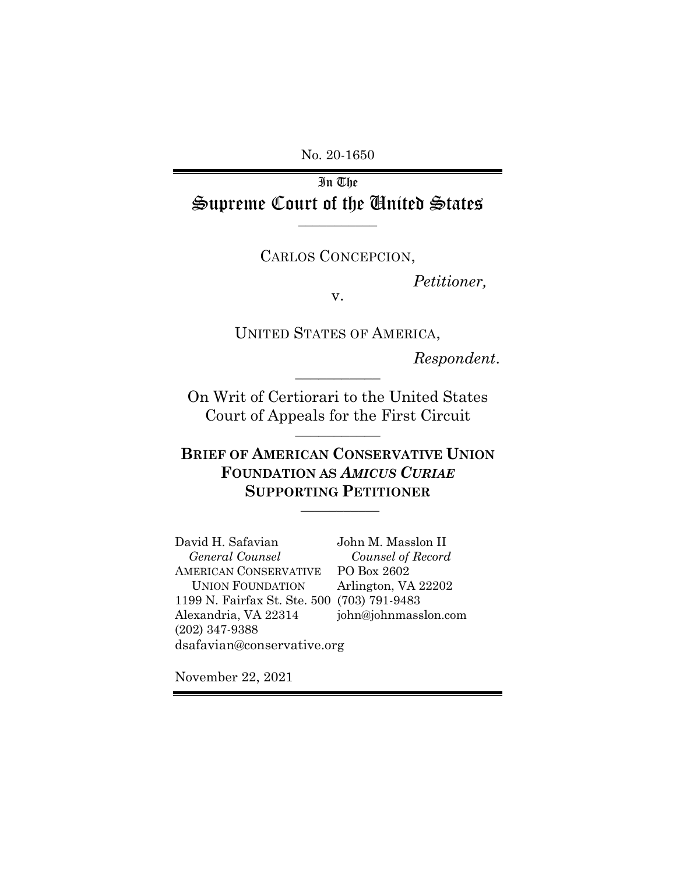No. 20-1650

In The Supreme Court of the United States **\_\_\_\_\_\_\_\_\_\_\_**

CARLOS CONCEPCION,

*Petitioner,*

v.

UNITED STATES OF AMERICA,

*Respondent*.

On Writ of Certiorari to the United States Court of Appeals for the First Circuit **\_\_\_\_\_\_\_\_\_\_\_**

**\_\_\_\_\_\_\_\_\_\_\_**

**BRIEF OF AMERICAN CONSERVATIVE UNION FOUNDATION AS** *AMICUS CURIAE*  **SUPPORTING PETITIONER \_\_\_\_\_\_\_\_\_\_\_**

David H. Safavian *General Counsel* AMERICAN CONSERVATIVE UNION FOUNDATION 1199 N. Fairfax St. Ste. 500 (703) 791-9483 Alexandria, VA 22314 (202) 347-9388 John M. Masslon II *Counsel of Record* PO Box 2602 Arlington, VA 22202 john@johnmasslon.com dsafavian@conservative.org

November 22, 2021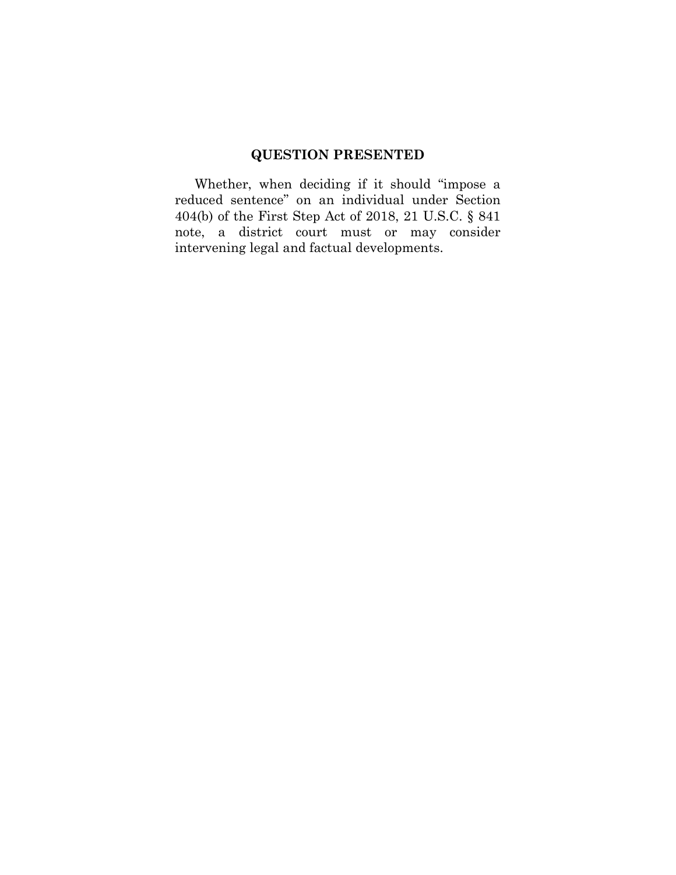# **QUESTION PRESENTED**

Whether, when deciding if it should "impose a reduced sentence" on an individual under Section 404(b) of the First Step Act of 2018, 21 U.S.C. § 841 note, a district court must or may consider intervening legal and factual developments.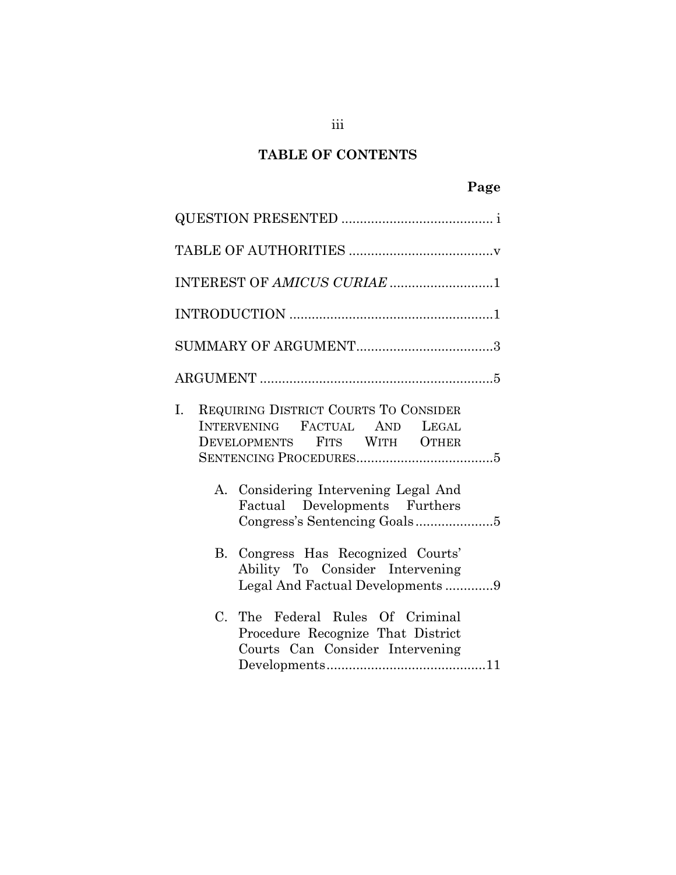# **TABLE OF CONTENTS**

| INTEREST OF AMICUS CURIAE 1 |                                                                                                                                                                              |  |  |  |  |
|-----------------------------|------------------------------------------------------------------------------------------------------------------------------------------------------------------------------|--|--|--|--|
|                             |                                                                                                                                                                              |  |  |  |  |
|                             |                                                                                                                                                                              |  |  |  |  |
|                             |                                                                                                                                                                              |  |  |  |  |
| Ι.<br>A.                    | REQUIRING DISTRICT COURTS TO CONSIDER<br>INTERVENING FACTUAL AND LEGAL<br>DEVELOPMENTS FITS WITH OTHER<br>Considering Intervening Legal And<br>Factual Developments Furthers |  |  |  |  |
|                             | B. Congress Has Recognized Courts'<br>Ability To Consider Intervening<br>Legal And Factual Developments9                                                                     |  |  |  |  |
|                             | C. The Federal Rules Of Criminal<br>Procedure Recognize That District<br>Courts Can Consider Intervening                                                                     |  |  |  |  |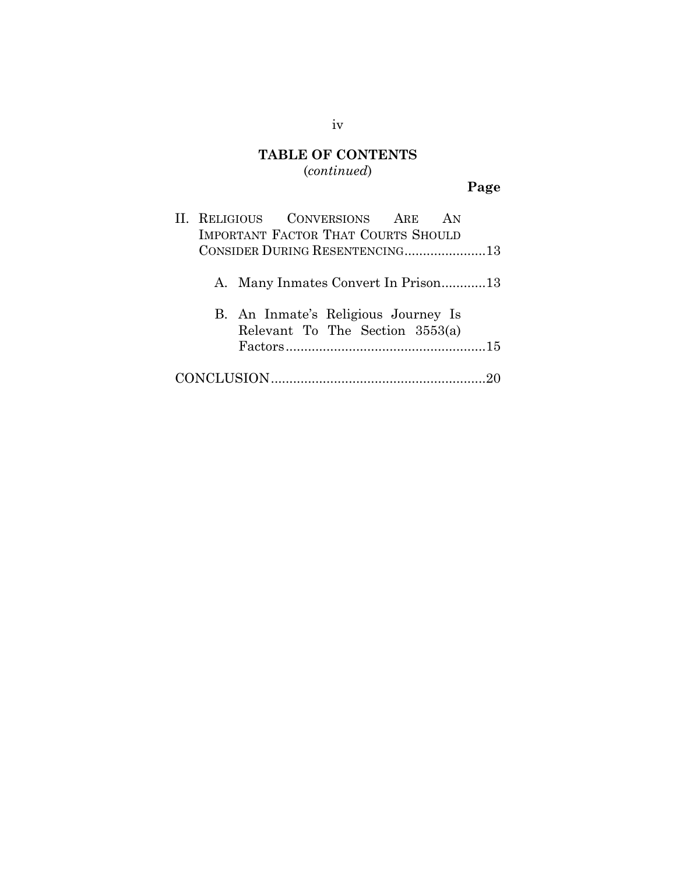## **TABLE OF CONTENTS** (*continued*)

# **Page**

|                                |                                            |  | II. RELIGIOUS CONVERSIONS ARE                                          |  | AN |
|--------------------------------|--------------------------------------------|--|------------------------------------------------------------------------|--|----|
|                                | <b>IMPORTANT FACTOR THAT COURTS SHOULD</b> |  |                                                                        |  |    |
| CONSIDER DURING RESENTENCING13 |                                            |  |                                                                        |  |    |
|                                |                                            |  | A. Many Inmates Convert In Prison13                                    |  |    |
|                                |                                            |  | B. An Inmate's Religious Journey Is<br>Relevant To The Section 3553(a) |  |    |
|                                |                                            |  |                                                                        |  |    |

## iv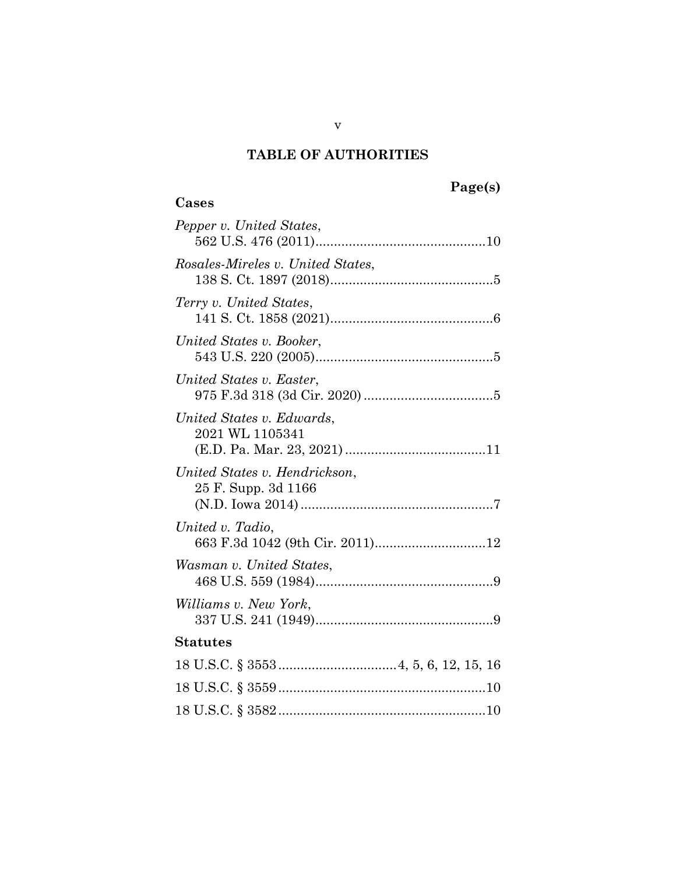# **Page(s)**

# **Cases**

| Pepper v. United States,                             |
|------------------------------------------------------|
| Rosales-Mireles v. United States,                    |
| Terry v. United States,                              |
| United States v. Booker,                             |
| United States v. Easter,                             |
| United States v. Edwards,<br>2021 WL 1105341         |
| United States v. Hendrickson,<br>25 F. Supp. 3d 1166 |
| United v. Tadio,<br>663 F.3d 1042 (9th Cir. 2011)12  |
| Wasman v. United States,                             |
| Williams v. New York,                                |
| <b>Statutes</b>                                      |
|                                                      |
|                                                      |
|                                                      |
|                                                      |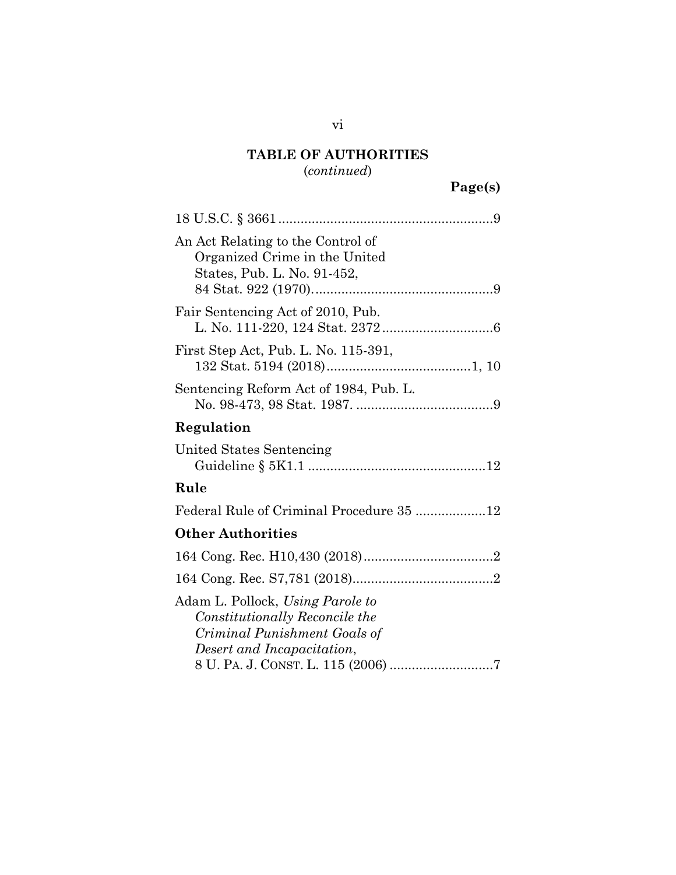## (*continued*)

| An Act Relating to the Control of<br>Organized Crime in the United<br>States, Pub. L. No. 91-452,                                |
|----------------------------------------------------------------------------------------------------------------------------------|
| Fair Sentencing Act of 2010, Pub.                                                                                                |
| First Step Act, Pub. L. No. 115-391,                                                                                             |
| Sentencing Reform Act of 1984, Pub. L.                                                                                           |
| Regulation                                                                                                                       |
| United States Sentencing                                                                                                         |
| Rule                                                                                                                             |
| Federal Rule of Criminal Procedure 35 12                                                                                         |
| <b>Other Authorities</b>                                                                                                         |
|                                                                                                                                  |
|                                                                                                                                  |
| Adam L. Pollock, Using Parole to<br>Constitutionally Reconcile the<br>Criminal Punishment Goals of<br>Desert and Incapacitation, |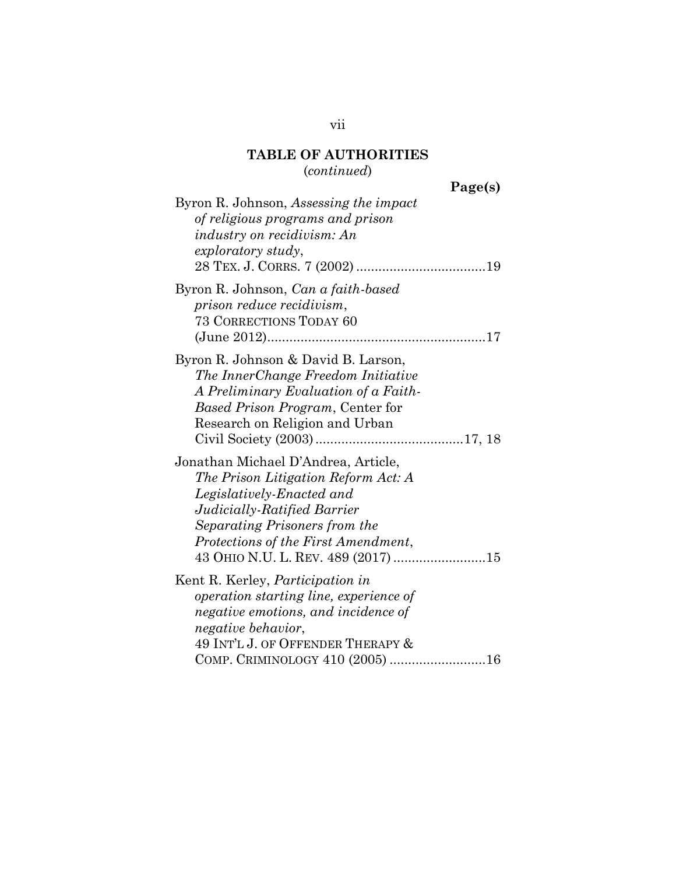(*continued*)

**Page(s)**

| Byron R. Johnson, Assessing the impact<br>of religious programs and prison<br><i>industry on recidivism: An</i><br>exploratory study,                                                                                                                |
|------------------------------------------------------------------------------------------------------------------------------------------------------------------------------------------------------------------------------------------------------|
| Byron R. Johnson, Can a faith-based<br>prison reduce recidivism,<br><b>73 CORRECTIONS TODAY 60</b>                                                                                                                                                   |
| Byron R. Johnson & David B. Larson,<br>The InnerChange Freedom Initiative<br>A Preliminary Evaluation of a Faith-<br><i>Based Prison Program, Center for</i><br>Research on Religion and Urban                                                       |
| Jonathan Michael D'Andrea, Article,<br>The Prison Litigation Reform Act: A<br>Legislatively-Enacted and<br>Judicially-Ratified Barrier<br>Separating Prisoners from the<br>Protections of the First Amendment,<br>43 OHIO N.U. L. REV. 489 (2017) 15 |
| Kent R. Kerley, <i>Participation in</i><br><i>operation starting line, experience of</i><br>negative emotions, and incidence of<br><i>negative behavior,</i><br>49 INT'L J. OF OFFENDER THERAPY &<br>COMP. CRIMINOLOGY 410 (2005) 16                 |
|                                                                                                                                                                                                                                                      |

vii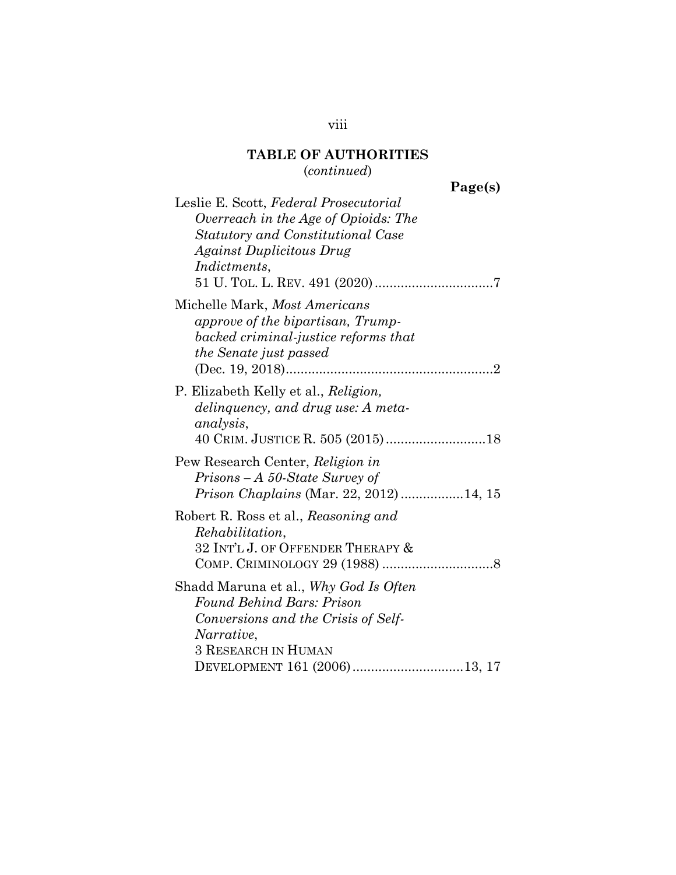(*continued*)

**Page(s)**

| Leslie E. Scott, Federal Prosecutorial |
|----------------------------------------|
| Overreach in the Age of Opioids: The   |
| Statutory and Constitutional Case      |
| <b>Against Duplicitous Drug</b>        |
| <i>Indictments,</i>                    |
|                                        |
| Michelle Mark, Most Americans          |
| approve of the bipartisan, Trump-      |
| backed criminal-justice reforms that   |
| <i>the Senate just passed</i>          |
|                                        |
| P. Elizabeth Kelly et al., Religion,   |
| delinquency, and drug use: A meta-     |
| analysis,                              |
|                                        |
| Pew Research Center, Religion in       |
| $Prisons - A 50-State Survey of$       |
| Prison Chaplains (Mar. 22, 2012)14, 15 |
| Robert R. Ross et al., Reasoning and   |
| Rehabilitation,                        |
| 32 INT'L J. OF OFFENDER THERAPY &      |
|                                        |
|                                        |
| Shadd Maruna et al., Why God Is Often  |
| <b>Found Behind Bars: Prison</b>       |
| Conversions and the Crisis of Self-    |
| Narrative,                             |
| <b>3 RESEARCH IN HUMAN</b>             |
| DEVELOPMENT 161 (2006)13, 17           |

## viii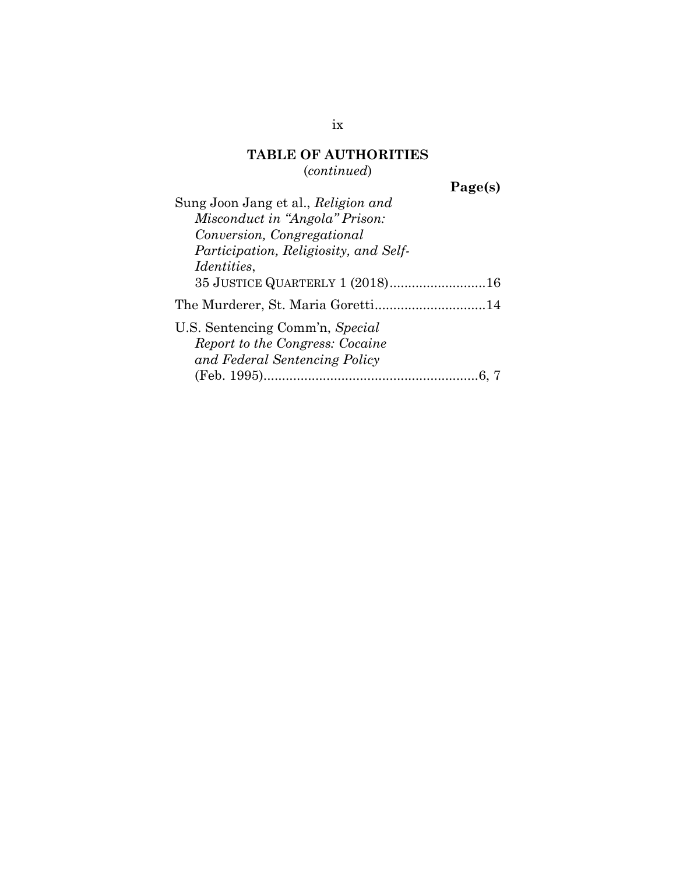## **TABLE OF AUTHORITIES** (*continued*)

**Page(s)**

| Sung Joon Jang et al., Religion and   |
|---------------------------------------|
| Misconduct in "Angola" Prison:        |
| Conversion, Congregational            |
| Participation, Religiosity, and Self- |
| <i>Identities,</i>                    |
| 35 JUSTICE QUARTERLY 1 (2018)16       |
| The Murderer, St. Maria Goretti14     |
| U.S. Sentencing Comm'n, Special       |
| Report to the Congress: Cocaine       |
| and Federal Sentencing Policy         |
|                                       |
|                                       |

ix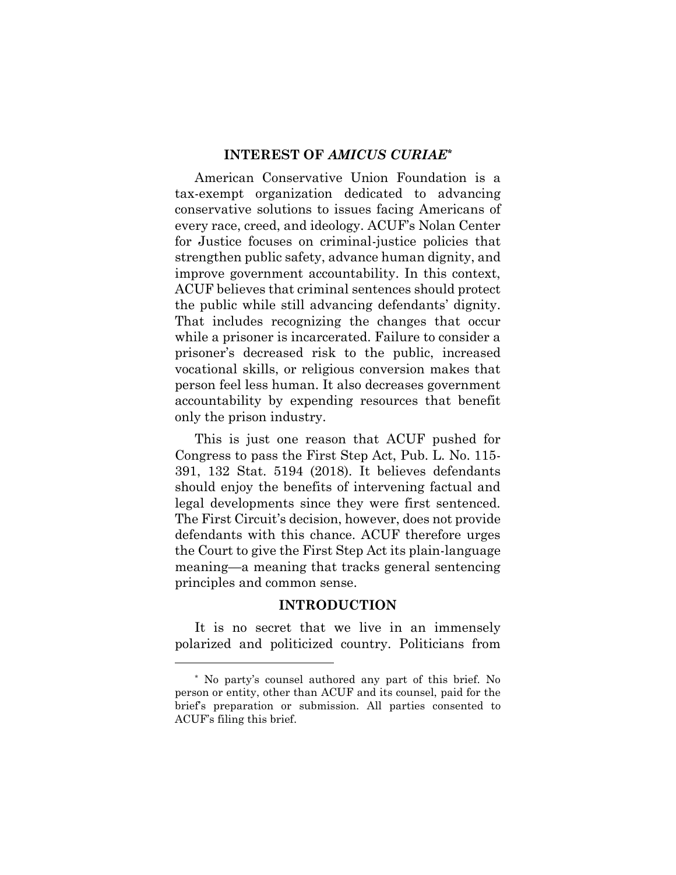#### **INTEREST OF** *AMICUS CURIAE\**

American Conservative Union Foundation is a tax-exempt organization dedicated to advancing conservative solutions to issues facing Americans of every race, creed, and ideology. ACUF's Nolan Center for Justice focuses on criminal-justice policies that strengthen public safety, advance human dignity, and improve government accountability. In this context, ACUF believes that criminal sentences should protect the public while still advancing defendants' dignity. That includes recognizing the changes that occur while a prisoner is incarcerated. Failure to consider a prisoner's decreased risk to the public, increased vocational skills, or religious conversion makes that person feel less human. It also decreases government accountability by expending resources that benefit only the prison industry.

This is just one reason that ACUF pushed for Congress to pass the First Step Act, Pub. L. No. 115- 391, 132 Stat. 5194 (2018). It believes defendants should enjoy the benefits of intervening factual and legal developments since they were first sentenced. The First Circuit's decision, however, does not provide defendants with this chance. ACUF therefore urges the Court to give the First Step Act its plain-language meaning—a meaning that tracks general sentencing principles and common sense.

#### **INTRODUCTION**

It is no secret that we live in an immensely polarized and politicized country. Politicians from

 $\overline{a}$ 

<sup>\*</sup> No party's counsel authored any part of this brief. No person or entity, other than ACUF and its counsel, paid for the brief's preparation or submission. All parties consented to ACUF's filing this brief.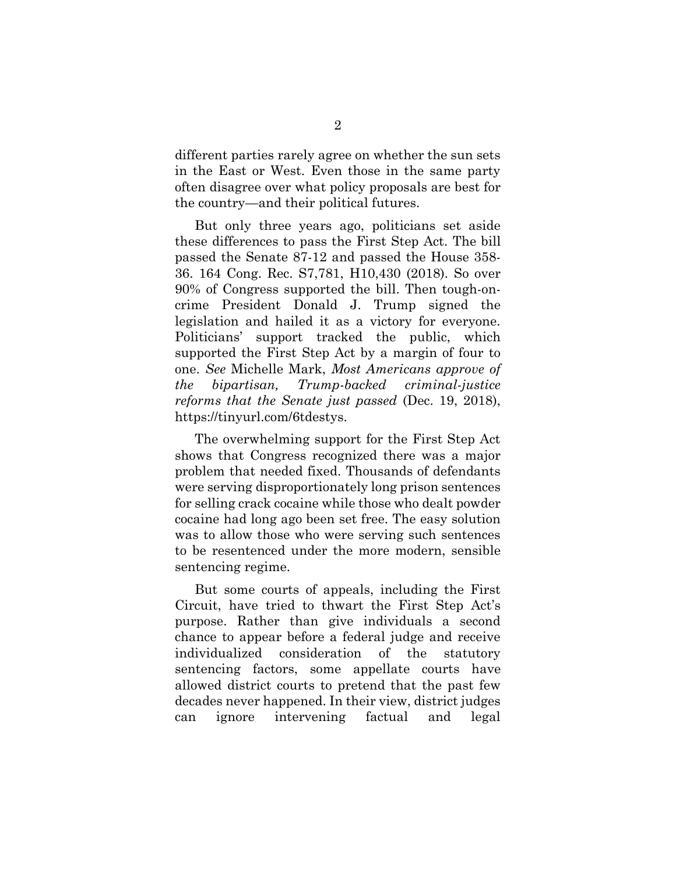different parties rarely agree on whether the sun sets in the East or West. Even those in the same party often disagree over what policy proposals are best for the country—and their political futures.

But only three years ago, politicians set aside these differences to pass the First Step Act. The bill passed the Senate 87-12 and passed the House 358- 36. 164 Cong. Rec. S7,781, H10,430 (2018). So over 90% of Congress supported the bill. Then tough-oncrime President Donald J. Trump signed the legislation and hailed it as a victory for everyone. Politicians' support tracked the public, which supported the First Step Act by a margin of four to one. *See* Michelle Mark, *Most Americans approve of the bipartisan, Trump-backed criminal-justice reforms that the Senate just passed* (Dec. 19, 2018), https://tinyurl.com/6tdestys.

The overwhelming support for the First Step Act shows that Congress recognized there was a major problem that needed fixed. Thousands of defendants were serving disproportionately long prison sentences for selling crack cocaine while those who dealt powder cocaine had long ago been set free. The easy solution was to allow those who were serving such sentences to be resentenced under the more modern, sensible sentencing regime.

But some courts of appeals, including the First Circuit, have tried to thwart the First Step Act's purpose. Rather than give individuals a second chance to appear before a federal judge and receive individualized consideration of the statutory sentencing factors, some appellate courts have allowed district courts to pretend that the past few decades never happened. In their view, district judges can ignore intervening factual and legal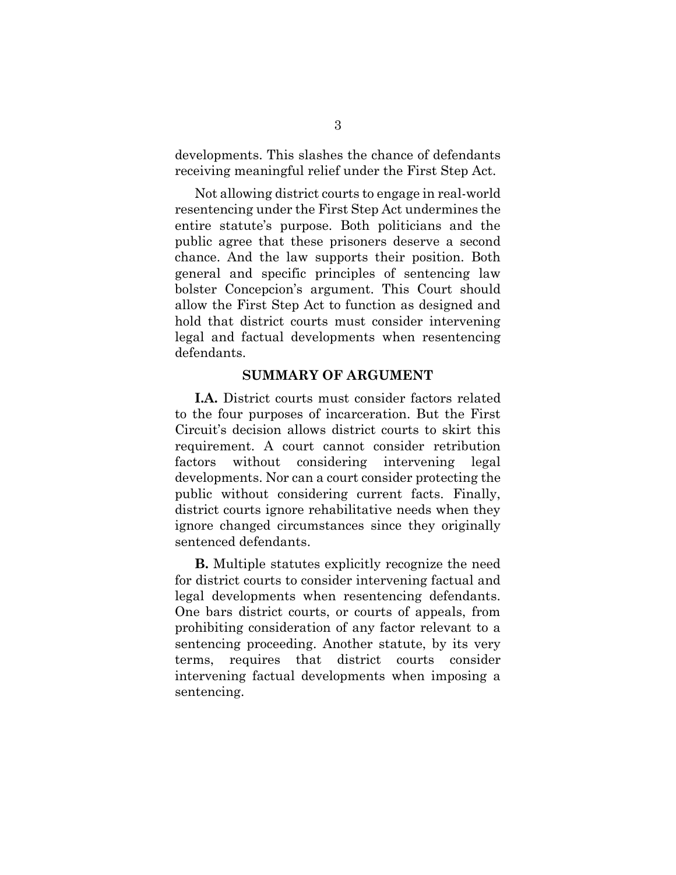developments. This slashes the chance of defendants receiving meaningful relief under the First Step Act.

Not allowing district courts to engage in real-world resentencing under the First Step Act undermines the entire statute's purpose. Both politicians and the public agree that these prisoners deserve a second chance. And the law supports their position. Both general and specific principles of sentencing law bolster Concepcion's argument. This Court should allow the First Step Act to function as designed and hold that district courts must consider intervening legal and factual developments when resentencing defendants.

#### **SUMMARY OF ARGUMENT**

**I.A.** District courts must consider factors related to the four purposes of incarceration. But the First Circuit's decision allows district courts to skirt this requirement. A court cannot consider retribution factors without considering intervening legal developments. Nor can a court consider protecting the public without considering current facts. Finally, district courts ignore rehabilitative needs when they ignore changed circumstances since they originally sentenced defendants.

**B.** Multiple statutes explicitly recognize the need for district courts to consider intervening factual and legal developments when resentencing defendants. One bars district courts, or courts of appeals, from prohibiting consideration of any factor relevant to a sentencing proceeding. Another statute, by its very terms, requires that district courts consider intervening factual developments when imposing a sentencing.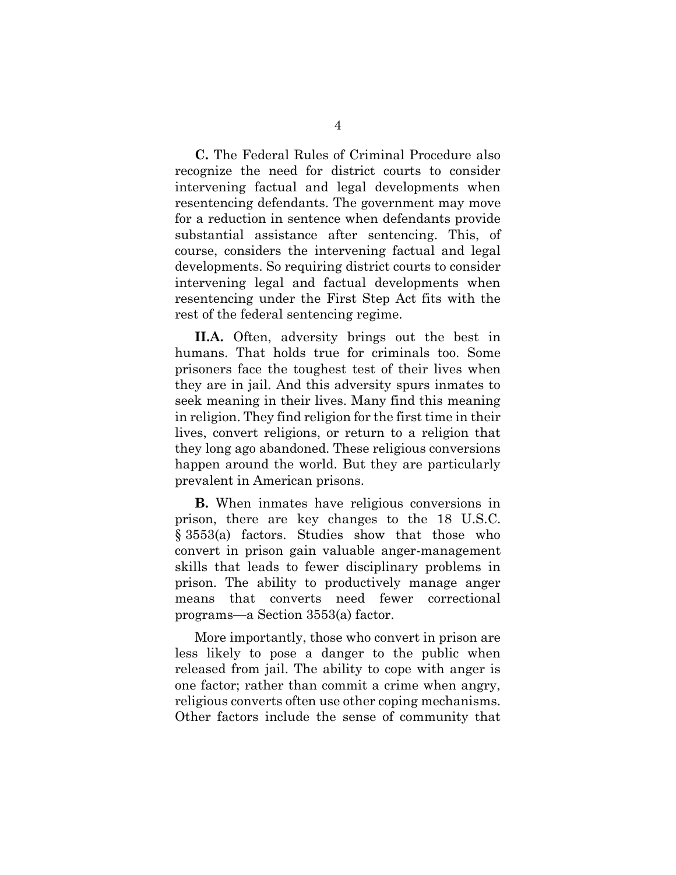**C.** The Federal Rules of Criminal Procedure also recognize the need for district courts to consider intervening factual and legal developments when resentencing defendants. The government may move for a reduction in sentence when defendants provide substantial assistance after sentencing. This, of course, considers the intervening factual and legal developments. So requiring district courts to consider intervening legal and factual developments when resentencing under the First Step Act fits with the rest of the federal sentencing regime.

**II.A.** Often, adversity brings out the best in humans. That holds true for criminals too. Some prisoners face the toughest test of their lives when they are in jail. And this adversity spurs inmates to seek meaning in their lives. Many find this meaning in religion. They find religion for the first time in their lives, convert religions, or return to a religion that they long ago abandoned. These religious conversions happen around the world. But they are particularly prevalent in American prisons.

**B.** When inmates have religious conversions in prison, there are key changes to the 18 U.S.C. § 3553(a) factors. Studies show that those who convert in prison gain valuable anger-management skills that leads to fewer disciplinary problems in prison. The ability to productively manage anger means that converts need fewer correctional programs—a Section 3553(a) factor.

More importantly, those who convert in prison are less likely to pose a danger to the public when released from jail. The ability to cope with anger is one factor; rather than commit a crime when angry, religious converts often use other coping mechanisms. Other factors include the sense of community that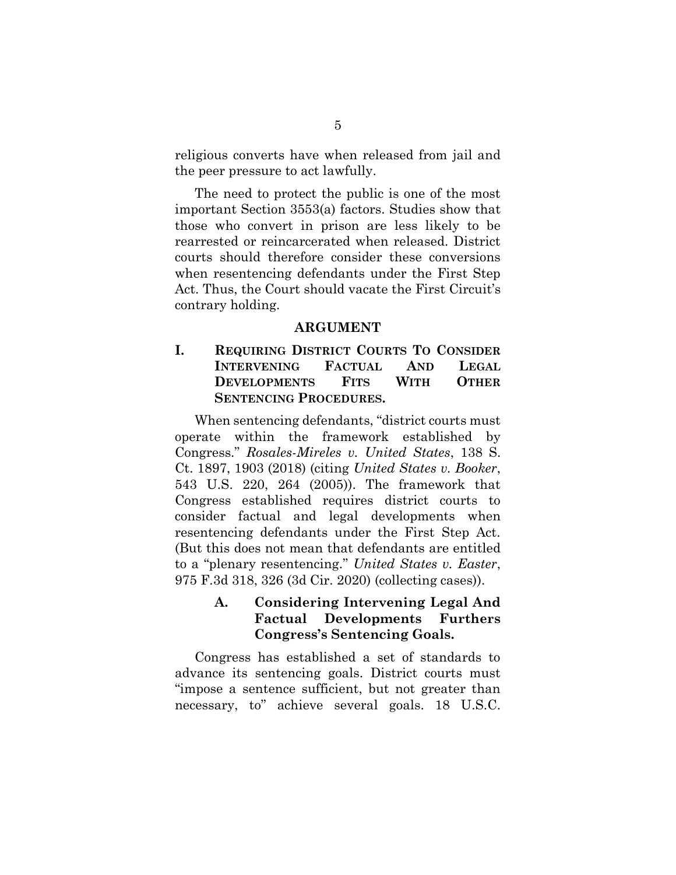religious converts have when released from jail and the peer pressure to act lawfully.

The need to protect the public is one of the most important Section 3553(a) factors. Studies show that those who convert in prison are less likely to be rearrested or reincarcerated when released. District courts should therefore consider these conversions when resentencing defendants under the First Step Act. Thus, the Court should vacate the First Circuit's contrary holding.

#### **ARGUMENT**

## **I. REQUIRING DISTRICT COURTS TO CONSIDER INTERVENING FACTUAL AND LEGAL DEVELOPMENTS FITS WITH OTHER SENTENCING PROCEDURES.**

When sentencing defendants, "district courts must operate within the framework established by Congress." *Rosales-Mireles v. United States*, 138 S. Ct. 1897, 1903 (2018) (citing *United States v. Booker*, 543 U.S. 220, 264 (2005)). The framework that Congress established requires district courts to consider factual and legal developments when resentencing defendants under the First Step Act. (But this does not mean that defendants are entitled to a "plenary resentencing." *United States v. Easter*, 975 F.3d 318, 326 (3d Cir. 2020) (collecting cases)).

#### **A. Considering Intervening Legal And Factual Developments Furthers Congress's Sentencing Goals.**

Congress has established a set of standards to advance its sentencing goals. District courts must "impose a sentence sufficient, but not greater than necessary, to" achieve several goals. 18 U.S.C.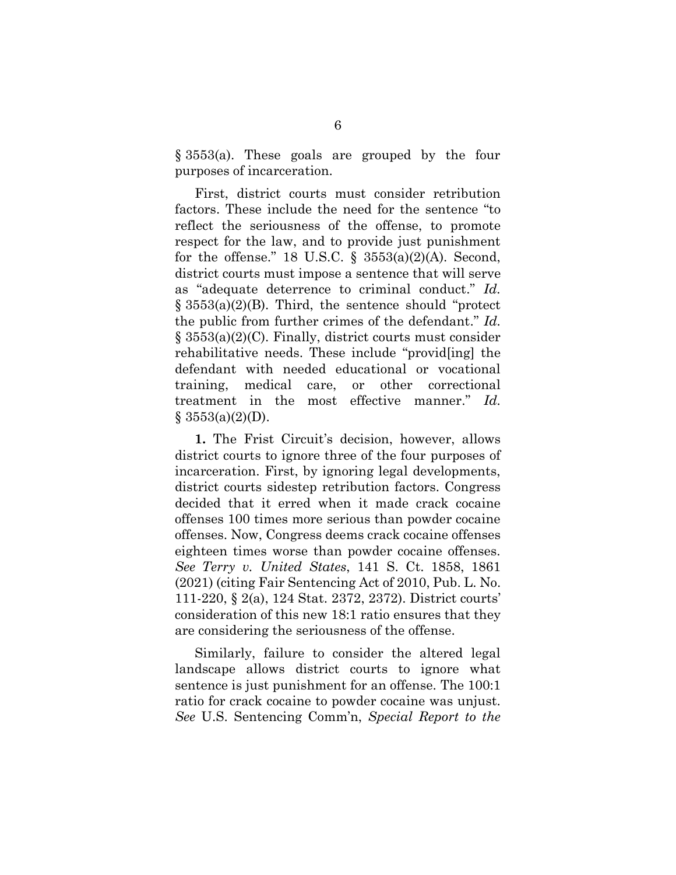§ 3553(a). These goals are grouped by the four purposes of incarceration.

First, district courts must consider retribution factors. These include the need for the sentence "to reflect the seriousness of the offense, to promote respect for the law, and to provide just punishment for the offense." 18 U.S.C.  $\S$  3553(a)(2)(A). Second, district courts must impose a sentence that will serve as "adequate deterrence to criminal conduct." *Id.* § 3553(a)(2)(B). Third, the sentence should "protect the public from further crimes of the defendant." *Id.* § 3553(a)(2)(C). Finally, district courts must consider rehabilitative needs. These include "provid[ing] the defendant with needed educational or vocational training, medical care, or other correctional treatment in the most effective manner." *Id.*  $§ 3553(a)(2)(D).$ 

**1.** The Frist Circuit's decision, however, allows district courts to ignore three of the four purposes of incarceration. First, by ignoring legal developments, district courts sidestep retribution factors. Congress decided that it erred when it made crack cocaine offenses 100 times more serious than powder cocaine offenses. Now, Congress deems crack cocaine offenses eighteen times worse than powder cocaine offenses. *See Terry v. United States*, 141 S. Ct. 1858, 1861 (2021) (citing Fair Sentencing Act of 2010, Pub. L. No. 111-220, § 2(a), 124 Stat. 2372, 2372). District courts' consideration of this new 18:1 ratio ensures that they are considering the seriousness of the offense.

Similarly, failure to consider the altered legal landscape allows district courts to ignore what sentence is just punishment for an offense. The 100:1 ratio for crack cocaine to powder cocaine was unjust. *See* U.S. Sentencing Comm'n, *Special Report to the*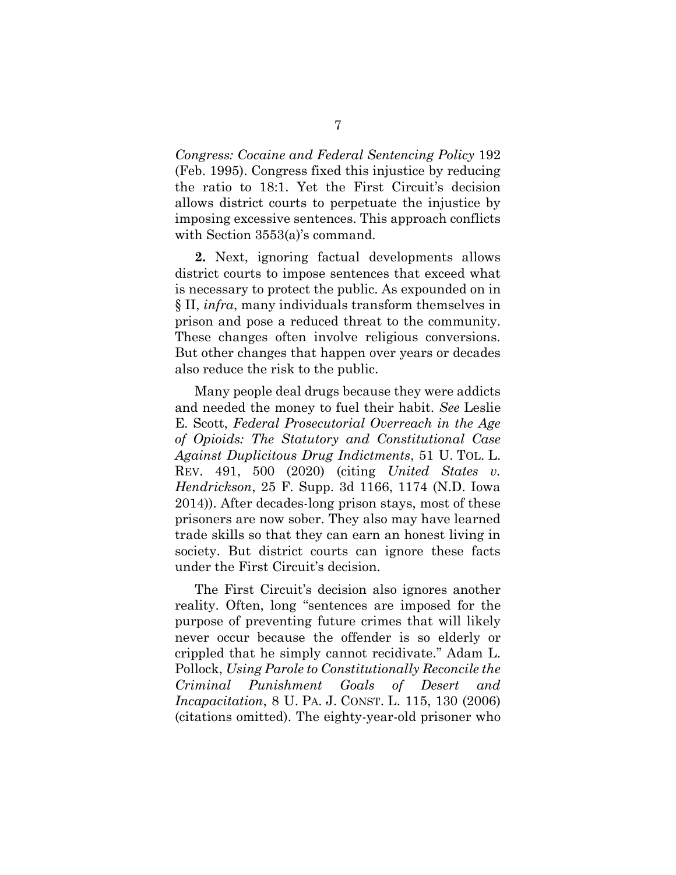*Congress: Cocaine and Federal Sentencing Policy* 192 (Feb. 1995). Congress fixed this injustice by reducing the ratio to 18:1. Yet the First Circuit's decision allows district courts to perpetuate the injustice by imposing excessive sentences. This approach conflicts with Section 3553(a)'s command.

**2.** Next, ignoring factual developments allows district courts to impose sentences that exceed what is necessary to protect the public. As expounded on in § II, *infra*, many individuals transform themselves in prison and pose a reduced threat to the community. These changes often involve religious conversions. But other changes that happen over years or decades also reduce the risk to the public.

Many people deal drugs because they were addicts and needed the money to fuel their habit. *See* Leslie E. Scott, *Federal Prosecutorial Overreach in the Age of Opioids: The Statutory and Constitutional Case Against Duplicitous Drug Indictments*, 51 U. TOL. L. REV. 491, 500 (2020) (citing *United States v. Hendrickson*, 25 F. Supp. 3d 1166, 1174 (N.D. Iowa 2014)). After decades-long prison stays, most of these prisoners are now sober. They also may have learned trade skills so that they can earn an honest living in society. But district courts can ignore these facts under the First Circuit's decision.

The First Circuit's decision also ignores another reality. Often, long "sentences are imposed for the purpose of preventing future crimes that will likely never occur because the offender is so elderly or crippled that he simply cannot recidivate." Adam L. Pollock, *Using Parole to Constitutionally Reconcile the Criminal Punishment Goals of Desert and Incapacitation*, 8 U. PA. J. CONST. L. 115, 130 (2006) (citations omitted). The eighty-year-old prisoner who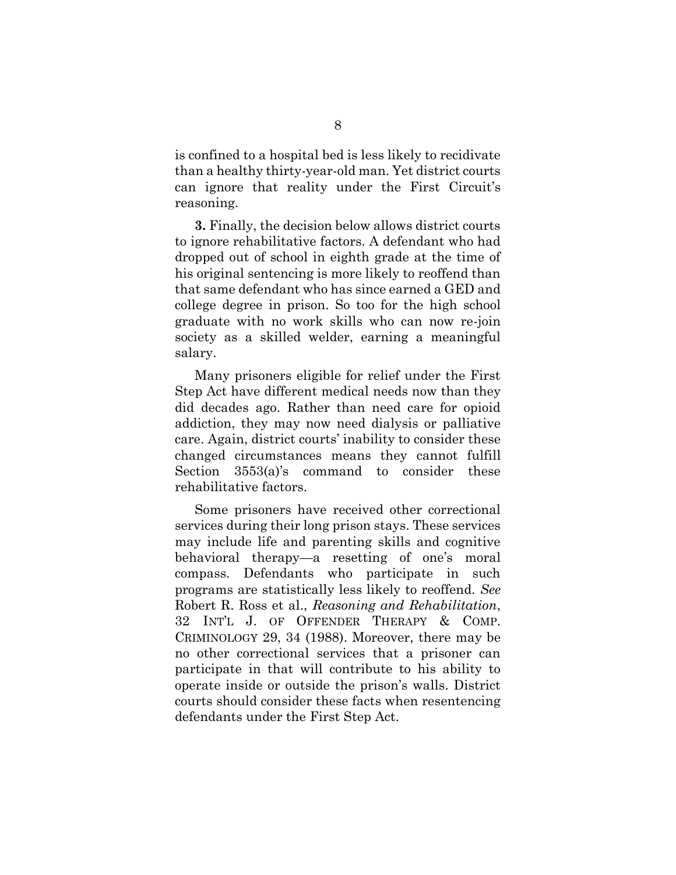is confined to a hospital bed is less likely to recidivate than a healthy thirty-year-old man. Yet district courts can ignore that reality under the First Circuit's reasoning.

**3.** Finally, the decision below allows district courts to ignore rehabilitative factors. A defendant who had dropped out of school in eighth grade at the time of his original sentencing is more likely to reoffend than that same defendant who has since earned a GED and college degree in prison. So too for the high school graduate with no work skills who can now re-join society as a skilled welder, earning a meaningful salary.

Many prisoners eligible for relief under the First Step Act have different medical needs now than they did decades ago. Rather than need care for opioid addiction, they may now need dialysis or palliative care. Again, district courts' inability to consider these changed circumstances means they cannot fulfill Section 3553(a)'s command to consider these rehabilitative factors.

Some prisoners have received other correctional services during their long prison stays. These services may include life and parenting skills and cognitive behavioral therapy—a resetting of one's moral compass. Defendants who participate in such programs are statistically less likely to reoffend. *See* Robert R. Ross et al., *Reasoning and Rehabilitation*, 32 INT'L J. OF OFFENDER THERAPY & COMP. CRIMINOLOGY 29, 34 (1988). Moreover, there may be no other correctional services that a prisoner can participate in that will contribute to his ability to operate inside or outside the prison's walls. District courts should consider these facts when resentencing defendants under the First Step Act.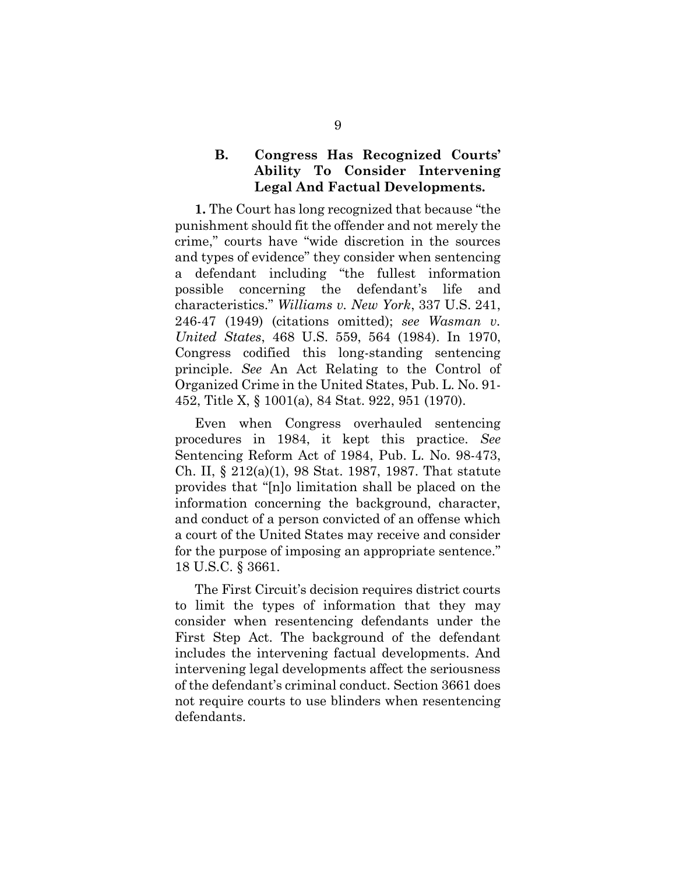#### **B. Congress Has Recognized Courts' Ability To Consider Intervening Legal And Factual Developments.**

**1.** The Court has long recognized that because "the punishment should fit the offender and not merely the crime," courts have "wide discretion in the sources and types of evidence" they consider when sentencing a defendant including "the fullest information possible concerning the defendant's life and characteristics." *Williams v. New York*, 337 U.S. 241, 246-47 (1949) (citations omitted); *see Wasman v. United States*, 468 U.S. 559, 564 (1984). In 1970, Congress codified this long-standing sentencing principle. *See* An Act Relating to the Control of Organized Crime in the United States, Pub. L. No. 91- 452, Title X, § 1001(a), 84 Stat. 922, 951 (1970).

Even when Congress overhauled sentencing procedures in 1984, it kept this practice. *See* Sentencing Reform Act of 1984, Pub. L. No. 98-473, Ch. II, § 212(a)(1), 98 Stat. 1987, 1987. That statute provides that "[n]o limitation shall be placed on the information concerning the background, character, and conduct of a person convicted of an offense which a court of the United States may receive and consider for the purpose of imposing an appropriate sentence." 18 U.S.C. § 3661.

The First Circuit's decision requires district courts to limit the types of information that they may consider when resentencing defendants under the First Step Act. The background of the defendant includes the intervening factual developments. And intervening legal developments affect the seriousness of the defendant's criminal conduct. Section 3661 does not require courts to use blinders when resentencing defendants.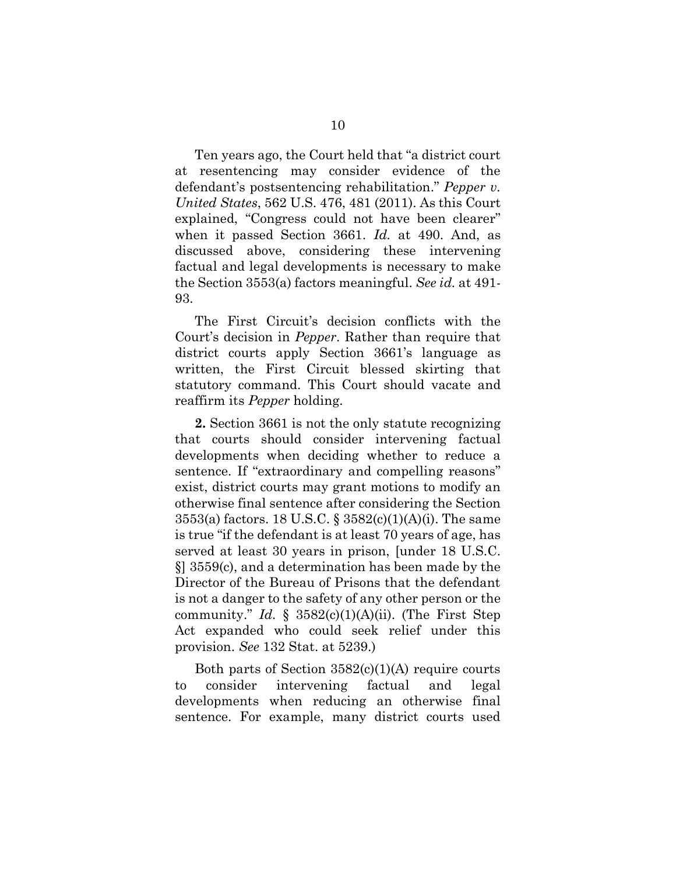Ten years ago, the Court held that "a district court at resentencing may consider evidence of the defendant's postsentencing rehabilitation." *Pepper v. United States*, 562 U.S. 476, 481 (2011). As this Court explained, "Congress could not have been clearer" when it passed Section 3661. *Id.* at 490. And, as discussed above, considering these intervening factual and legal developments is necessary to make the Section 3553(a) factors meaningful. *See id.* at 491- 93.

The First Circuit's decision conflicts with the Court's decision in *Pepper*. Rather than require that district courts apply Section 3661's language as written, the First Circuit blessed skirting that statutory command. This Court should vacate and reaffirm its *Pepper* holding.

**2.** Section 3661 is not the only statute recognizing that courts should consider intervening factual developments when deciding whether to reduce a sentence. If "extraordinary and compelling reasons" exist, district courts may grant motions to modify an otherwise final sentence after considering the Section 3553(a) factors. 18 U.S.C. § 3582(c)(1)(A)(i). The same is true "if the defendant is at least 70 years of age, has served at least 30 years in prison, [under 18 U.S.C. §] 3559(c), and a determination has been made by the Director of the Bureau of Prisons that the defendant is not a danger to the safety of any other person or the community." *Id.*  $\S$  3582(c)(1)(A)(ii). (The First Step Act expanded who could seek relief under this provision. *See* 132 Stat. at 5239.)

Both parts of Section 3582(c)(1)(A) require courts to consider intervening factual and legal developments when reducing an otherwise final sentence. For example, many district courts used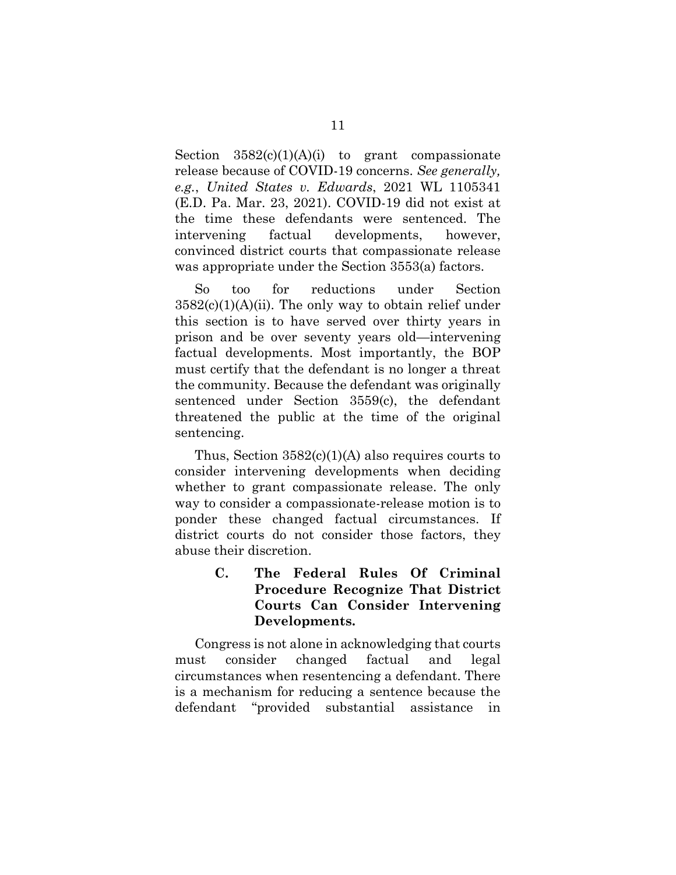Section  $3582(c)(1)(A)(i)$  to grant compassionate release because of COVID-19 concerns. *See generally, e.g.*, *United States v. Edwards*, 2021 WL 1105341 (E.D. Pa. Mar. 23, 2021). COVID-19 did not exist at the time these defendants were sentenced. The intervening factual developments, however, convinced district courts that compassionate release was appropriate under the Section 3553(a) factors.

So too for reductions under Section  $3582(c)(1)(A)(ii)$ . The only way to obtain relief under this section is to have served over thirty years in prison and be over seventy years old—intervening factual developments. Most importantly, the BOP must certify that the defendant is no longer a threat the community. Because the defendant was originally sentenced under Section 3559(c), the defendant threatened the public at the time of the original sentencing.

Thus, Section  $3582(c)(1)(A)$  also requires courts to consider intervening developments when deciding whether to grant compassionate release. The only way to consider a compassionate-release motion is to ponder these changed factual circumstances. If district courts do not consider those factors, they abuse their discretion.

## **C. The Federal Rules Of Criminal Procedure Recognize That District Courts Can Consider Intervening Developments.**

Congress is not alone in acknowledging that courts must consider changed factual and legal circumstances when resentencing a defendant. There is a mechanism for reducing a sentence because the defendant "provided substantial assistance in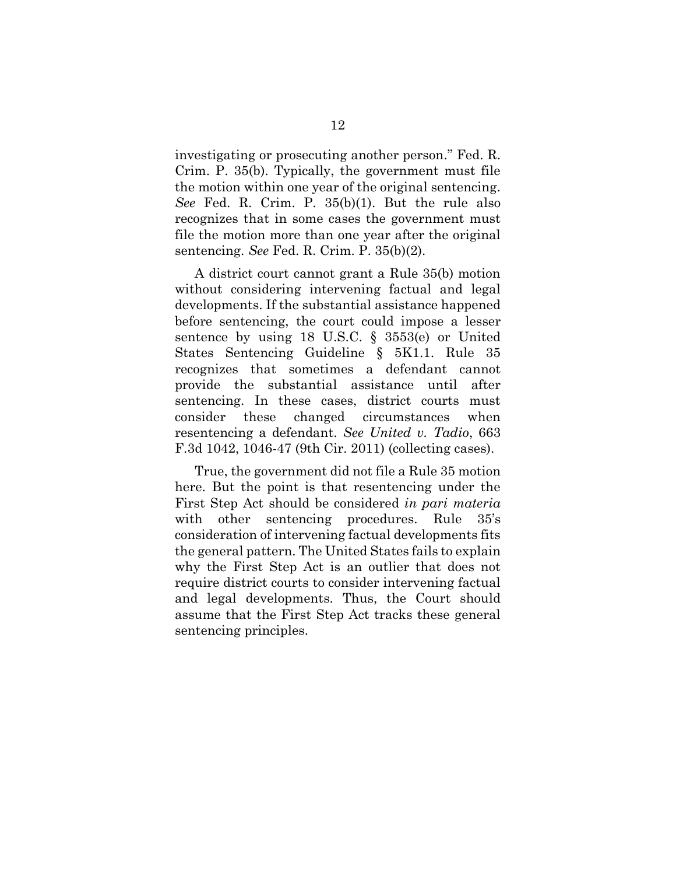investigating or prosecuting another person." Fed. R. Crim. P. 35(b). Typically, the government must file the motion within one year of the original sentencing. *See* Fed. R. Crim. P. 35(b)(1). But the rule also recognizes that in some cases the government must file the motion more than one year after the original sentencing. *See* Fed. R. Crim. P. 35(b)(2).

A district court cannot grant a Rule 35(b) motion without considering intervening factual and legal developments. If the substantial assistance happened before sentencing, the court could impose a lesser sentence by using 18 U.S.C. § 3553(e) or United States Sentencing Guideline § 5K1.1. Rule 35 recognizes that sometimes a defendant cannot provide the substantial assistance until after sentencing. In these cases, district courts must consider these changed circumstances when resentencing a defendant. *See United v. Tadio*, 663 F.3d 1042, 1046-47 (9th Cir. 2011) (collecting cases).

True, the government did not file a Rule 35 motion here. But the point is that resentencing under the First Step Act should be considered *in pari materia* with other sentencing procedures. Rule 35's consideration of intervening factual developments fits the general pattern. The United States fails to explain why the First Step Act is an outlier that does not require district courts to consider intervening factual and legal developments. Thus, the Court should assume that the First Step Act tracks these general sentencing principles.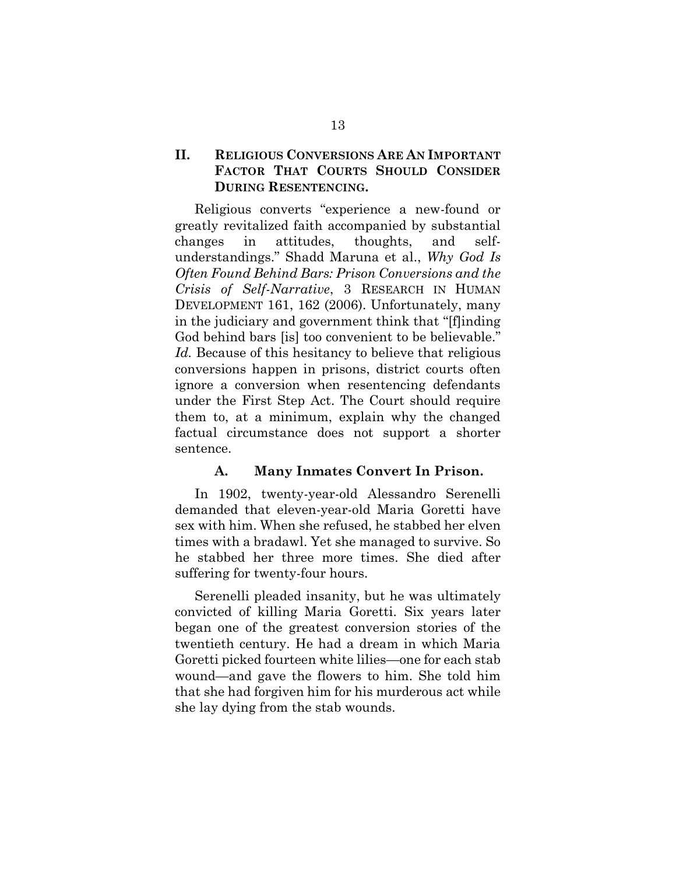#### **II. RELIGIOUS CONVERSIONS ARE AN IMPORTANT FACTOR THAT COURTS SHOULD CONSIDER DURING RESENTENCING.**

Religious converts "experience a new-found or greatly revitalized faith accompanied by substantial changes in attitudes, thoughts, and selfunderstandings." Shadd Maruna et al., *Why God Is Often Found Behind Bars: Prison Conversions and the Crisis of Self-Narrative*, 3 RESEARCH IN HUMAN DEVELOPMENT 161, 162 (2006). Unfortunately, many in the judiciary and government think that "[f]inding God behind bars [is] too convenient to be believable." *Id.* Because of this hesitancy to believe that religious conversions happen in prisons, district courts often ignore a conversion when resentencing defendants under the First Step Act. The Court should require them to, at a minimum, explain why the changed factual circumstance does not support a shorter sentence.

#### **A. Many Inmates Convert In Prison.**

In 1902, twenty-year-old Alessandro Serenelli demanded that eleven-year-old Maria Goretti have sex with him. When she refused, he stabbed her elven times with a bradawl. Yet she managed to survive. So he stabbed her three more times. She died after suffering for twenty-four hours.

Serenelli pleaded insanity, but he was ultimately convicted of killing Maria Goretti. Six years later began one of the greatest conversion stories of the twentieth century. He had a dream in which Maria Goretti picked fourteen white lilies—one for each stab wound—and gave the flowers to him. She told him that she had forgiven him for his murderous act while she lay dying from the stab wounds.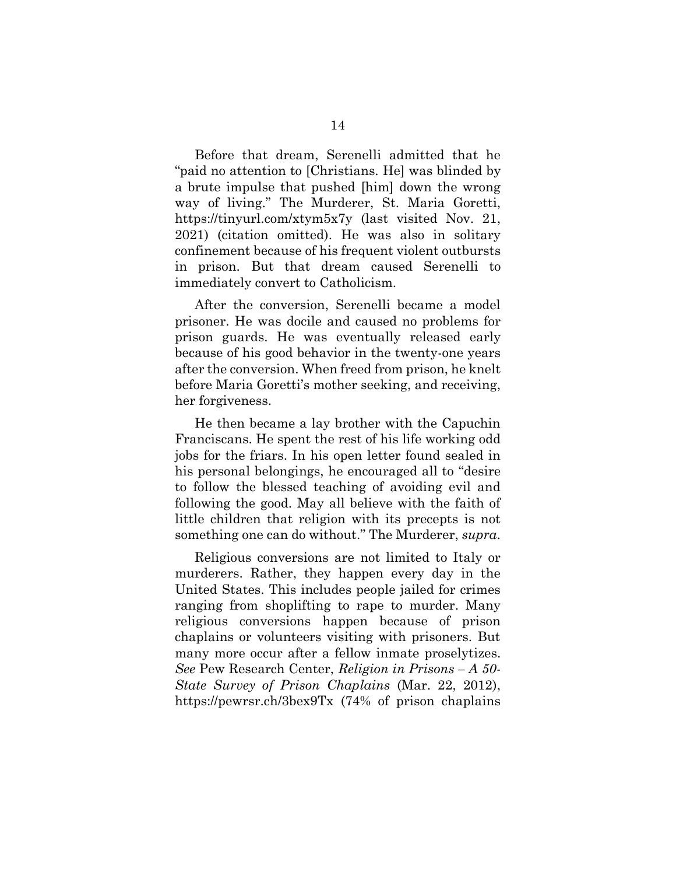Before that dream, Serenelli admitted that he "paid no attention to [Christians. He] was blinded by a brute impulse that pushed [him] down the wrong way of living." The Murderer, St. Maria Goretti, https://tinyurl.com/xtym5x7y (last visited Nov. 21, 2021) (citation omitted). He was also in solitary confinement because of his frequent violent outbursts in prison. But that dream caused Serenelli to immediately convert to Catholicism.

After the conversion, Serenelli became a model prisoner. He was docile and caused no problems for prison guards. He was eventually released early because of his good behavior in the twenty-one years after the conversion. When freed from prison, he knelt before Maria Goretti's mother seeking, and receiving, her forgiveness.

He then became a lay brother with the Capuchin Franciscans. He spent the rest of his life working odd jobs for the friars. In his open letter found sealed in his personal belongings, he encouraged all to "desire to follow the blessed teaching of avoiding evil and following the good. May all believe with the faith of little children that religion with its precepts is not something one can do without." The Murderer, *supra*.

Religious conversions are not limited to Italy or murderers. Rather, they happen every day in the United States. This includes people jailed for crimes ranging from shoplifting to rape to murder. Many religious conversions happen because of prison chaplains or volunteers visiting with prisoners. But many more occur after a fellow inmate proselytizes. *See* Pew Research Center, *Religion in Prisons – A 50- State Survey of Prison Chaplains* (Mar. 22, 2012), https://pewrsr.ch/3bex9Tx (74% of prison chaplains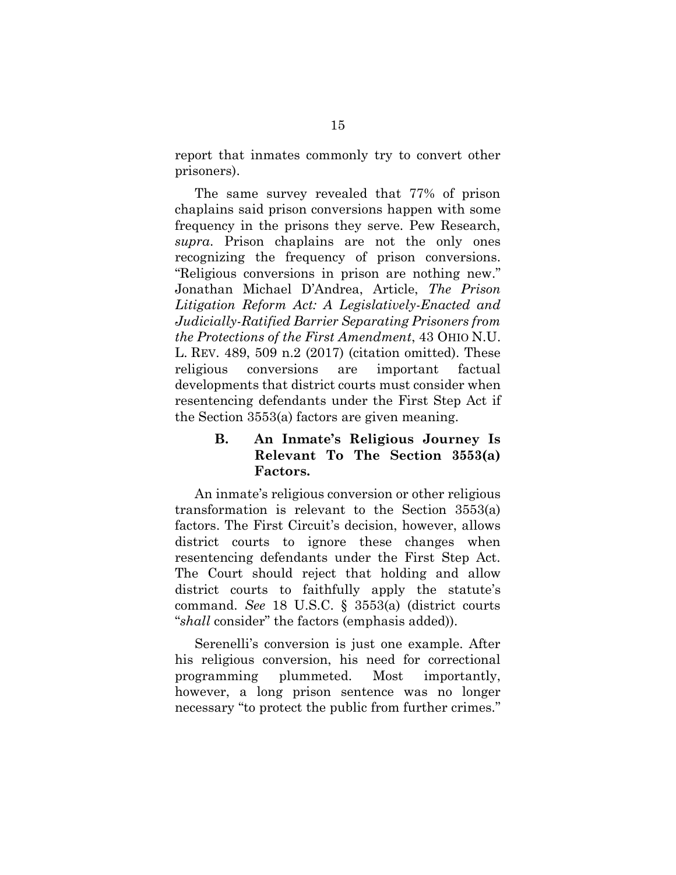report that inmates commonly try to convert other prisoners).

The same survey revealed that 77% of prison chaplains said prison conversions happen with some frequency in the prisons they serve. Pew Research, *supra*. Prison chaplains are not the only ones recognizing the frequency of prison conversions. "Religious conversions in prison are nothing new." Jonathan Michael D'Andrea, Article, *The Prison Litigation Reform Act: A Legislatively-Enacted and Judicially-Ratified Barrier Separating Prisoners from the Protections of the First Amendment*, 43 OHIO N.U. L. REV. 489, 509 n.2 (2017) (citation omitted). These religious conversions are important factual developments that district courts must consider when resentencing defendants under the First Step Act if the Section 3553(a) factors are given meaning.

## **B. An Inmate's Religious Journey Is Relevant To The Section 3553(a) Factors.**

An inmate's religious conversion or other religious transformation is relevant to the Section 3553(a) factors. The First Circuit's decision, however, allows district courts to ignore these changes when resentencing defendants under the First Step Act. The Court should reject that holding and allow district courts to faithfully apply the statute's command. *See* 18 U.S.C. § 3553(a) (district courts "*shall* consider" the factors (emphasis added)).

Serenelli's conversion is just one example. After his religious conversion, his need for correctional programming plummeted. Most importantly, however, a long prison sentence was no longer necessary "to protect the public from further crimes."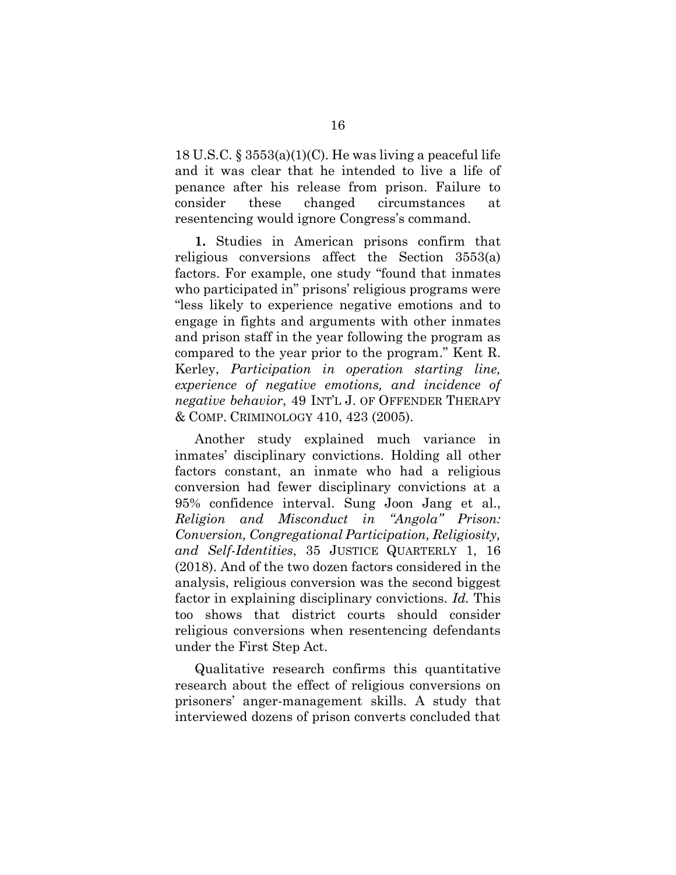18 U.S.C.  $\S 3553(a)(1)(C)$ . He was living a peaceful life and it was clear that he intended to live a life of penance after his release from prison. Failure to consider these changed circumstances at resentencing would ignore Congress's command.

**1.** Studies in American prisons confirm that religious conversions affect the Section 3553(a) factors. For example, one study "found that inmates who participated in" prisons' religious programs were "less likely to experience negative emotions and to engage in fights and arguments with other inmates and prison staff in the year following the program as compared to the year prior to the program." Kent R. Kerley, *Participation in operation starting line, experience of negative emotions, and incidence of negative behavior*, 49 INT'L J. OF OFFENDER THERAPY & COMP. CRIMINOLOGY 410, 423 (2005).

Another study explained much variance in inmates' disciplinary convictions. Holding all other factors constant, an inmate who had a religious conversion had fewer disciplinary convictions at a 95% confidence interval. Sung Joon Jang et al., *Religion and Misconduct in "Angola" Prison: Conversion, Congregational Participation, Religiosity, and Self-Identities*, 35 JUSTICE QUARTERLY 1, 16 (2018). And of the two dozen factors considered in the analysis, religious conversion was the second biggest factor in explaining disciplinary convictions. *Id.* This too shows that district courts should consider religious conversions when resentencing defendants under the First Step Act.

Qualitative research confirms this quantitative research about the effect of religious conversions on prisoners' anger-management skills. A study that interviewed dozens of prison converts concluded that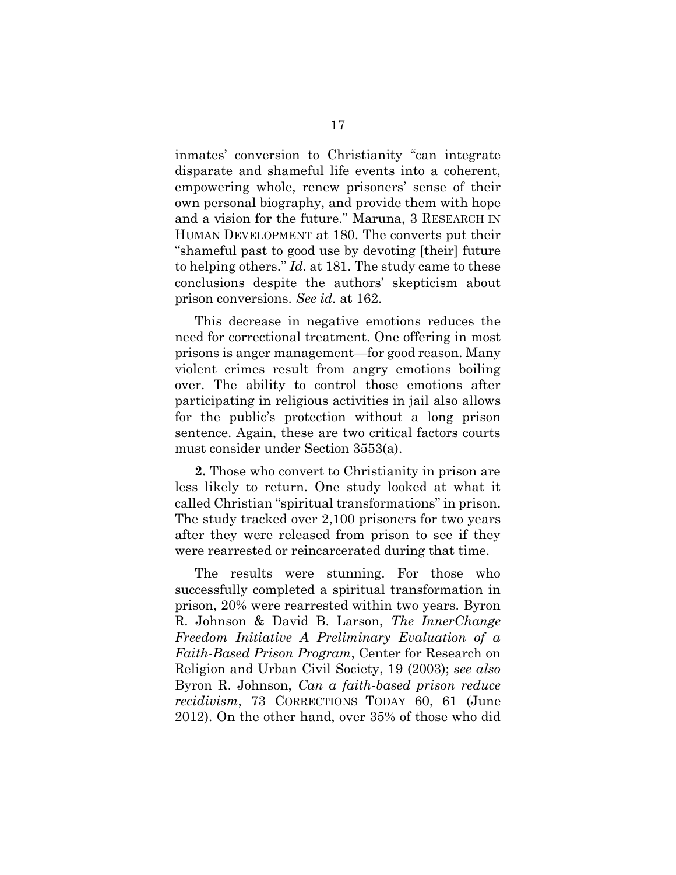inmates' conversion to Christianity "can integrate disparate and shameful life events into a coherent, empowering whole, renew prisoners' sense of their own personal biography, and provide them with hope and a vision for the future." Maruna, 3 RESEARCH IN HUMAN DEVELOPMENT at 180. The converts put their "shameful past to good use by devoting [their] future to helping others." *Id.* at 181. The study came to these conclusions despite the authors' skepticism about prison conversions. *See id.* at 162.

This decrease in negative emotions reduces the need for correctional treatment. One offering in most prisons is anger management—for good reason. Many violent crimes result from angry emotions boiling over. The ability to control those emotions after participating in religious activities in jail also allows for the public's protection without a long prison sentence. Again, these are two critical factors courts must consider under Section 3553(a).

**2.** Those who convert to Christianity in prison are less likely to return. One study looked at what it called Christian "spiritual transformations" in prison. The study tracked over 2,100 prisoners for two years after they were released from prison to see if they were rearrested or reincarcerated during that time.

The results were stunning. For those who successfully completed a spiritual transformation in prison, 20% were rearrested within two years. Byron R. Johnson & David B. Larson, *The InnerChange Freedom Initiative A Preliminary Evaluation of a Faith-Based Prison Program*, Center for Research on Religion and Urban Civil Society, 19 (2003); *see also* Byron R. Johnson, *Can a faith-based prison reduce recidivism*, 73 CORRECTIONS TODAY 60, 61 (June 2012). On the other hand, over 35% of those who did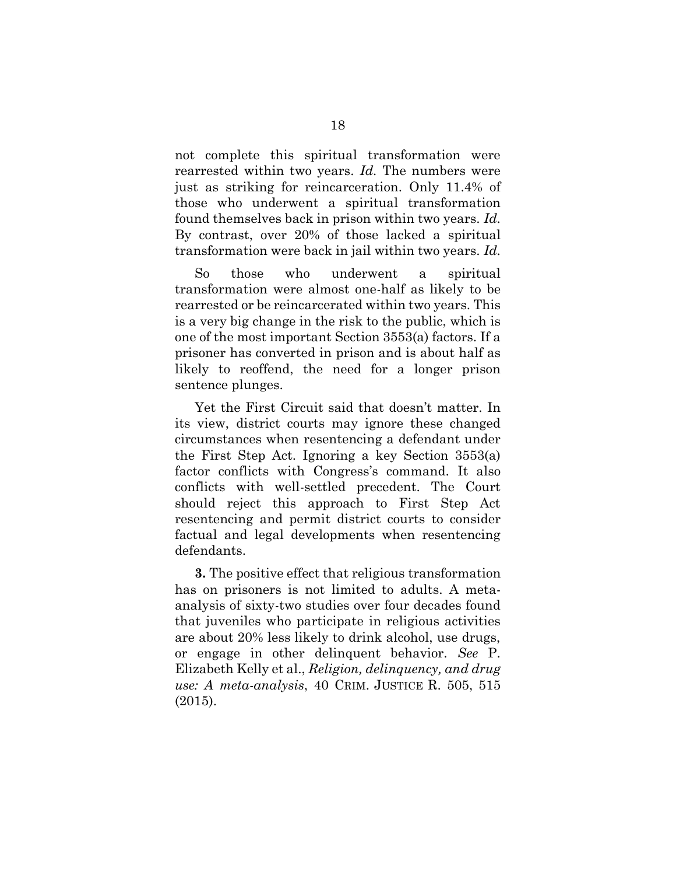not complete this spiritual transformation were rearrested within two years. *Id.* The numbers were just as striking for reincarceration. Only 11.4% of those who underwent a spiritual transformation found themselves back in prison within two years. *Id.* By contrast, over 20% of those lacked a spiritual transformation were back in jail within two years. *Id.* 

So those who underwent a spiritual transformation were almost one-half as likely to be rearrested or be reincarcerated within two years. This is a very big change in the risk to the public, which is one of the most important Section 3553(a) factors. If a prisoner has converted in prison and is about half as likely to reoffend, the need for a longer prison sentence plunges.

Yet the First Circuit said that doesn't matter. In its view, district courts may ignore these changed circumstances when resentencing a defendant under the First Step Act. Ignoring a key Section 3553(a) factor conflicts with Congress's command. It also conflicts with well-settled precedent. The Court should reject this approach to First Step Act resentencing and permit district courts to consider factual and legal developments when resentencing defendants.

**3.** The positive effect that religious transformation has on prisoners is not limited to adults. A metaanalysis of sixty-two studies over four decades found that juveniles who participate in religious activities are about 20% less likely to drink alcohol, use drugs, or engage in other delinquent behavior. *See* P. Elizabeth Kelly et al., *Religion, delinquency, and drug use: A meta-analysis*, 40 CRIM. JUSTICE R. 505, 515 (2015).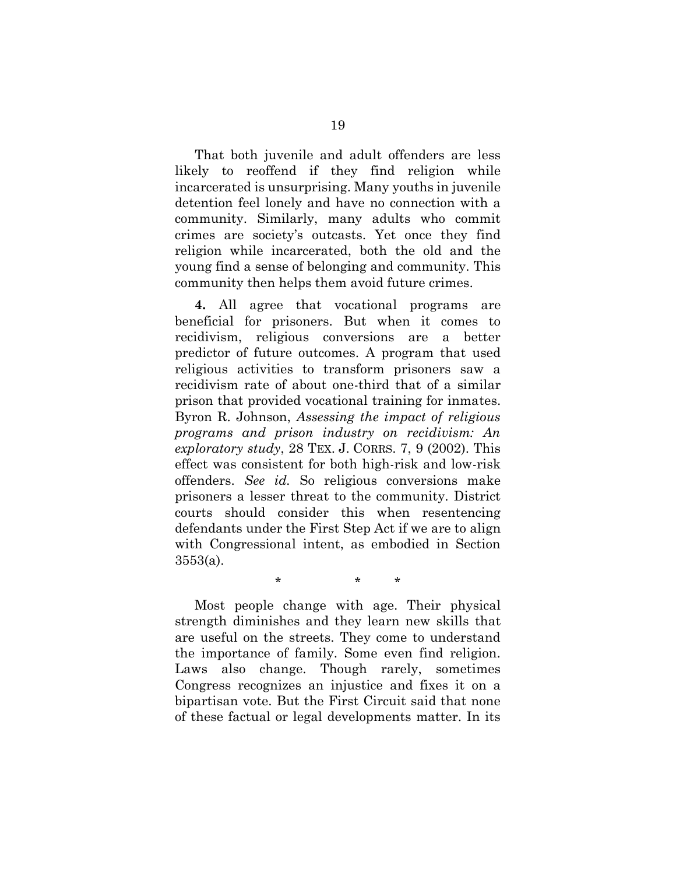That both juvenile and adult offenders are less likely to reoffend if they find religion while incarcerated is unsurprising. Many youths in juvenile detention feel lonely and have no connection with a community. Similarly, many adults who commit crimes are society's outcasts. Yet once they find religion while incarcerated, both the old and the young find a sense of belonging and community. This community then helps them avoid future crimes.

**4.** All agree that vocational programs are beneficial for prisoners. But when it comes to recidivism, religious conversions are a better predictor of future outcomes. A program that used religious activities to transform prisoners saw a recidivism rate of about one-third that of a similar prison that provided vocational training for inmates. Byron R. Johnson, *Assessing the impact of religious programs and prison industry on recidivism: An exploratory study*, 28 TEX. J. CORRS. 7, 9 (2002). This effect was consistent for both high-risk and low-risk offenders. *See id.* So religious conversions make prisoners a lesser threat to the community. District courts should consider this when resentencing defendants under the First Step Act if we are to align with Congressional intent, as embodied in Section 3553(a).

Most people change with age. Their physical strength diminishes and they learn new skills that are useful on the streets. They come to understand the importance of family. Some even find religion. Laws also change. Though rarely, sometimes Congress recognizes an injustice and fixes it on a bipartisan vote. But the First Circuit said that none of these factual or legal developments matter. In its

\* \* \*